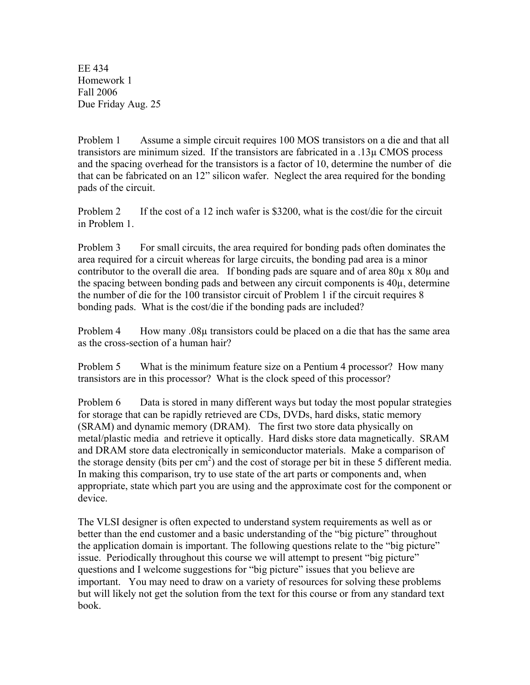EE 434 Homework 1 Fall 2006 Due Friday Aug. 25

Problem 1 Assume a simple circuit requires 100 MOS transistors on a die and that all transistors are minimum sized. If the transistors are fabricated in a .13µ CMOS process and the spacing overhead for the transistors is a factor of 10, determine the number of die that can be fabricated on an 12" silicon wafer. Neglect the area required for the bonding pads of the circuit.

Problem 2 If the cost of a 12 inch wafer is \$3200, what is the cost/die for the circuit in Problem 1.

Problem 3 For small circuits, the area required for bonding pads often dominates the area required for a circuit whereas for large circuits, the bonding pad area is a minor contributor to the overall die area. If bonding pads are square and of area  $80\mu$  x  $80\mu$  and the spacing between bonding pads and between any circuit components is 40µ, determine the number of die for the 100 transistor circuit of Problem 1 if the circuit requires 8 bonding pads. What is the cost/die if the bonding pads are included?

Problem 4  $\,\mathrm{How\, many}\,08\mu$  transistors could be placed on a die that has the same area as the cross-section of a human hair?

Problem 5 What is the minimum feature size on a Pentium 4 processor? How many transistors are in this processor? What is the clock speed of this processor?

Problem 6 Data is stored in many different ways but today the most popular strategies for storage that can be rapidly retrieved are CDs, DVDs, hard disks, static memory (SRAM) and dynamic memory (DRAM). The first two store data physically on metal/plastic media and retrieve it optically. Hard disks store data magnetically. SRAM and DRAM store data electronically in semiconductor materials. Make a comparison of the storage density (bits per  $\text{cm}^2$ ) and the cost of storage per bit in these 5 different media. In making this comparison, try to use state of the art parts or components and, when appropriate, state which part you are using and the approximate cost for the component or device.

The VLSI designer is often expected to understand system requirements as well as or better than the end customer and a basic understanding of the "big picture" throughout the application domain is important. The following questions relate to the "big picture" issue. Periodically throughout this course we will attempt to present "big picture" questions and I welcome suggestions for "big picture" issues that you believe are important. You may need to draw on a variety of resources for solving these problems but will likely not get the solution from the text for this course or from any standard text book.